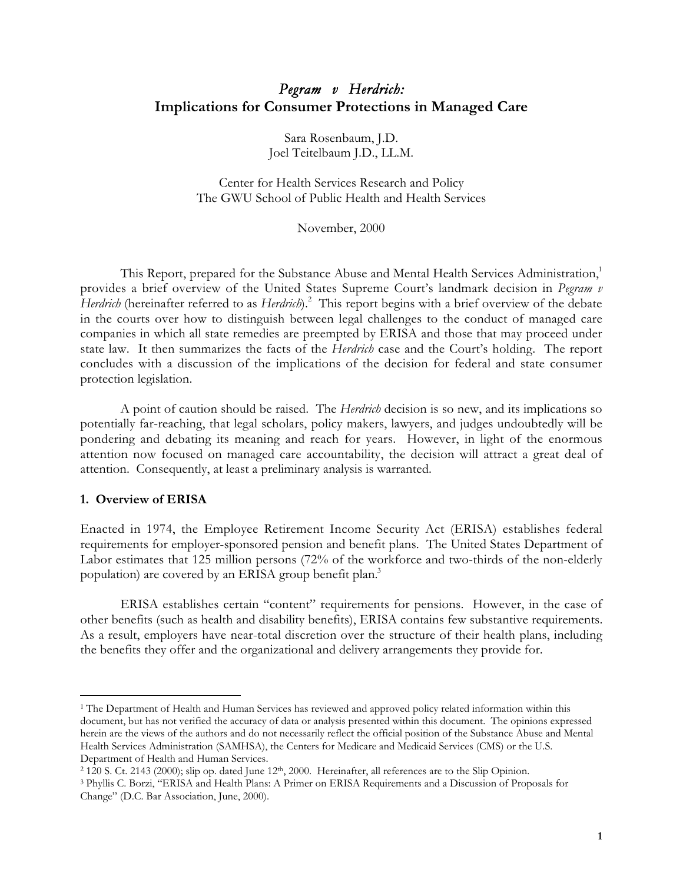## *Pegram v Herdrich:* **Implications for Consumer Protections in Managed Care**

Sara Rosenbaum, J.D. Joel Teitelbaum J.D., LL.M.

Center for Health Services Research and Policy The GWU School of Public Health and Health Services

November, 2000

This Report, prepared for the Substance Abuse and Mental Health Services Administration,<sup>1</sup> provides a brief overview of the United States Supreme Court's landmark decision in *Pegram v* Herdrich (hereinafter referred to as Herdrich).<sup>2</sup> This report begins with a brief overview of the debate in the courts over how to distinguish between legal challenges to the conduct of managed care companies in which all state remedies are preempted by ERISA and those that may proceed under state law. It then summarizes the facts of the *Herdrich* case and the Court's holding. The report concludes with a discussion of the implications of the decision for federal and state consumer protection legislation.

A point of caution should be raised. The *Herdrich* decision is so new, and its implications so potentially far-reaching, that legal scholars, policy makers, lawyers, and judges undoubtedly will be pondering and debating its meaning and reach for years. However, in light of the enormous attention now focused on managed care accountability, the decision will attract a great deal of attention. Consequently, at least a preliminary analysis is warranted.

## **1. Overview of ERISA**

ı

Enacted in 1974, the Employee Retirement Income Security Act (ERISA) establishes federal requirements for employer-sponsored pension and benefit plans. The United States Department of Labor estimates that 125 million persons (72% of the workforce and two-thirds of the non-elderly population) are covered by an ERISA group benefit plan.<sup>3</sup>

ERISA establishes certain "content" requirements for pensions. However, in the case of other benefits (such as health and disability benefits), ERISA contains few substantive requirements. As a result, employers have near-total discretion over the structure of their health plans, including the benefits they offer and the organizational and delivery arrangements they provide for.

<sup>&</sup>lt;sup>1</sup> The Department of Health and Human Services has reviewed and approved policy related information within this document, but has not verified the accuracy of data or analysis presented within this document. The opinions expressed herein are the views of the authors and do not necessarily reflect the official position of the Substance Abuse and Mental Health Services Administration (SAMHSA), the Centers for Medicare and Medicaid Services (CMS) or the U.S. Department of Health and Human Services.

<sup>2 120</sup> S. Ct. 2143 (2000); slip op. dated June 12th, 2000. Hereinafter, all references are to the Slip Opinion.

<sup>3</sup> Phyllis C. Borzi, "ERISA and Health Plans: A Primer on ERISA Requirements and a Discussion of Proposals for Change" (D.C. Bar Association, June, 2000).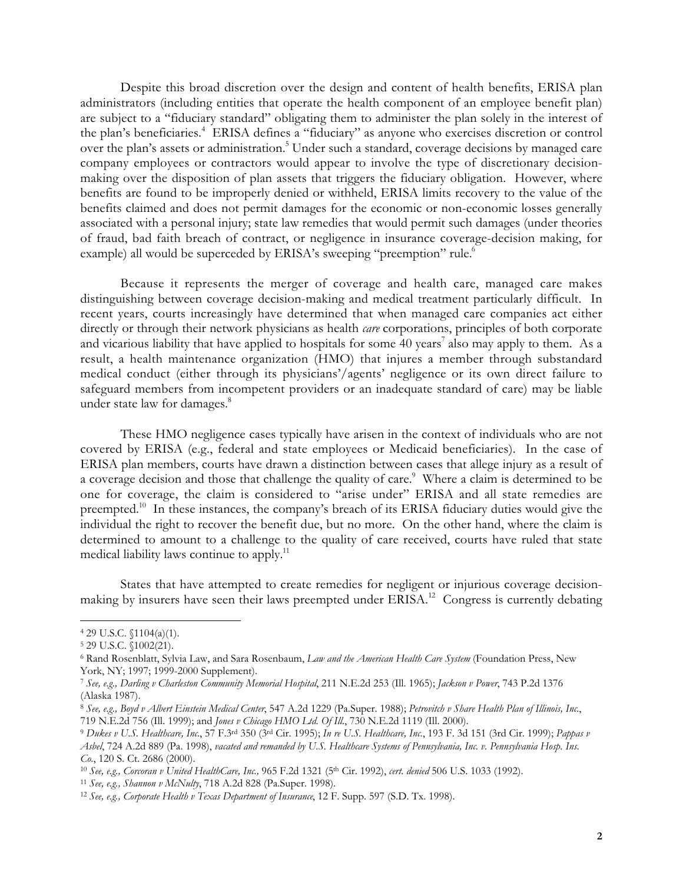Despite this broad discretion over the design and content of health benefits, ERISA plan administrators (including entities that operate the health component of an employee benefit plan) are subject to a "fiduciary standard" obligating them to administer the plan solely in the interest of the plan's beneficiaries.<sup>4</sup> ERISA defines a "fiduciary" as anyone who exercises discretion or control over the plan's assets or administration.<sup>5</sup> Under such a standard, coverage decisions by managed care company employees or contractors would appear to involve the type of discretionary decisionmaking over the disposition of plan assets that triggers the fiduciary obligation. However, where benefits are found to be improperly denied or withheld, ERISA limits recovery to the value of the benefits claimed and does not permit damages for the economic or non-economic losses generally associated with a personal injury; state law remedies that would permit such damages (under theories of fraud, bad faith breach of contract, or negligence in insurance coverage-decision making, for example) all would be superceded by ERISA's sweeping "preemption" rule.<sup>6</sup>

Because it represents the merger of coverage and health care, managed care makes distinguishing between coverage decision-making and medical treatment particularly difficult. In recent years, courts increasingly have determined that when managed care companies act either directly or through their network physicians as health *care* corporations, principles of both corporate and vicarious liability that have applied to hospitals for some  $40$  years<sup>7</sup> also may apply to them. As a result, a health maintenance organization (HMO) that injures a member through substandard medical conduct (either through its physicians'/agents' negligence or its own direct failure to safeguard members from incompetent providers or an inadequate standard of care) may be liable under state law for damages.<sup>8</sup>

These HMO negligence cases typically have arisen in the context of individuals who are not covered by ERISA (e.g., federal and state employees or Medicaid beneficiaries). In the case of ERISA plan members, courts have drawn a distinction between cases that allege injury as a result of a coverage decision and those that challenge the quality of care. $^{\circ}\,$  Where a claim is determined to be one for coverage, the claim is considered to "arise under" ERISA and all state remedies are preempted.<sup>10</sup> In these instances, the company's breach of its ERISA fiduciary duties would give the individual the right to recover the benefit due, but no more. On the other hand, where the claim is determined to amount to a challenge to the quality of care received, courts have ruled that state medical liability laws continue to apply.<sup>11</sup>

States that have attempted to create remedies for negligent or injurious coverage decisionmaking by insurers have seen their laws preempted under ERISA.<sup>12</sup> Congress is currently debating

<sup>4 29</sup> U.S.C. §1104(a)(1).

<sup>5 29</sup> U.S.C. §1002(21).

<sup>6</sup> Rand Rosenblatt, Sylvia Law, and Sara Rosenbaum, *Law and the American Health Care System* (Foundation Press, New York, NY; 1997; 1999-2000 Supplement).

<sup>7</sup> *See, e.g., Darling v Charleston Community Memorial Hospital*, 211 N.E.2d 253 (Ill. 1965); *Jackson v Power*, 743 P.2d 1376 (Alaska 1987).

<sup>8</sup> *See, e.g., Boyd v Albert Einstein Medical Center*, 547 A.2d 1229 (Pa.Super. 1988); *Petrovitch v Share Health Plan of Illinois, Inc.*, 719 N.E.2d 756 (Ill. 1999); and *Jones v Chicago HMO Ltd. Of Ill.*, 730 N.E.2d 1119 (Ill. 2000).

<sup>9</sup> *Dukes v U.S. Healthcare, Inc.*, 57 F.3rd 350 (3rd Cir. 1995); *In re U.S. Healthcare, Inc.*, 193 F. 3d 151 (3rd Cir. 1999); *Pappas v Asbel*, 724 A.2d 889 (Pa. 1998), *vacated and remanded by U.S. Healthcare Systems of Pennsylvania, Inc. v. Pennsylvania Hosp. Ins. Co.*, 120 S. Ct. 2686 (2000).

<sup>10</sup> *See, e.g., Corcoran v United HealthCare, Inc.,* 965 F.2d 1321 (5th Cir. 1992), *cert. denied* 506 U.S. 1033 (1992).

<sup>11</sup> *See, e.g., Shannon v McNulty*, 718 A.2d 828 (Pa.Super. 1998).

<sup>12</sup> *See, e.g., Corporate Health v Texas Department of Insurance*, 12 F. Supp. 597 (S.D. Tx. 1998).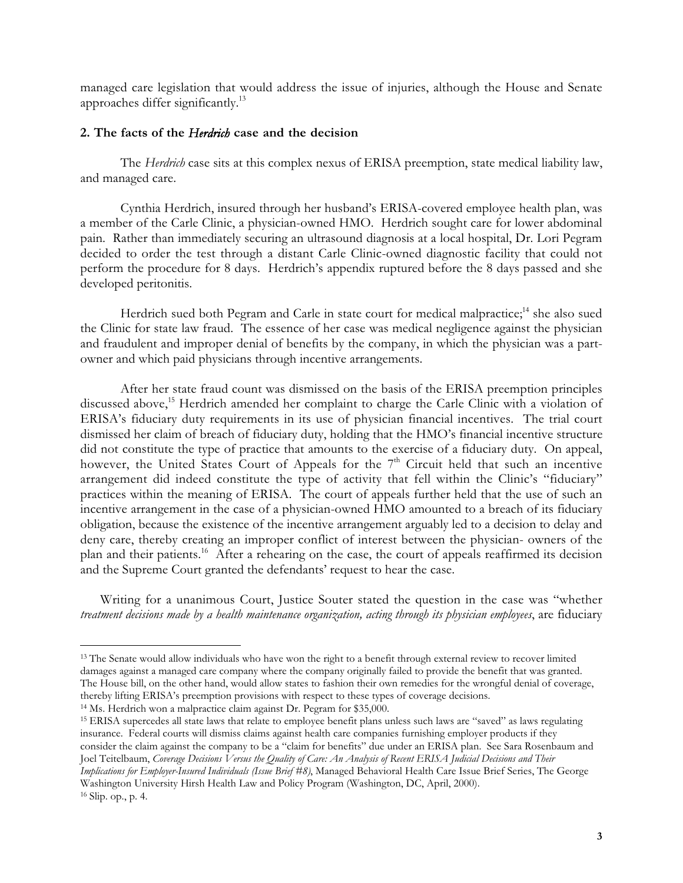managed care legislation that would address the issue of injuries, although the House and Senate approaches differ significantly.13

## **2. The facts of the** *Herdrich* **case and the decision**

The *Herdrich* case sits at this complex nexus of ERISA preemption, state medical liability law, and managed care.

Cynthia Herdrich, insured through her husband's ERISA-covered employee health plan, was a member of the Carle Clinic, a physician-owned HMO. Herdrich sought care for lower abdominal pain. Rather than immediately securing an ultrasound diagnosis at a local hospital, Dr. Lori Pegram decided to order the test through a distant Carle Clinic-owned diagnostic facility that could not perform the procedure for 8 days. Herdrich's appendix ruptured before the 8 days passed and she developed peritonitis.

Herdrich sued both Pegram and Carle in state court for medical malpractice;<sup>14</sup> she also sued the Clinic for state law fraud. The essence of her case was medical negligence against the physician and fraudulent and improper denial of benefits by the company, in which the physician was a partowner and which paid physicians through incentive arrangements.

After her state fraud count was dismissed on the basis of the ERISA preemption principles discussed above,<sup>15</sup> Herdrich amended her complaint to charge the Carle Clinic with a violation of ERISA's fiduciary duty requirements in its use of physician financial incentives. The trial court dismissed her claim of breach of fiduciary duty, holding that the HMO's financial incentive structure did not constitute the type of practice that amounts to the exercise of a fiduciary duty. On appeal, however, the United States Court of Appeals for the 7<sup>th</sup> Circuit held that such an incentive arrangement did indeed constitute the type of activity that fell within the Clinic's "fiduciary" practices within the meaning of ERISA. The court of appeals further held that the use of such an incentive arrangement in the case of a physician-owned HMO amounted to a breach of its fiduciary obligation, because the existence of the incentive arrangement arguably led to a decision to delay and deny care, thereby creating an improper conflict of interest between the physician- owners of the plan and their patients.16 After a rehearing on the case, the court of appeals reaffirmed its decision and the Supreme Court granted the defendants' request to hear the case.

Writing for a unanimous Court, Justice Souter stated the question in the case was "whether *treatment decisions made by a health maintenance organization, acting through its physician employees*, are fiduciary

14 Ms. Herdrich won a malpractice claim against Dr. Pegram for \$35,000.

 $\overline{a}$ 

15 ERISA supercedes all state laws that relate to employee benefit plans unless such laws are "saved" as laws regulating insurance. Federal courts will dismiss claims against health care companies furnishing employer products if they consider the claim against the company to be a "claim for benefits" due under an ERISA plan. See Sara Rosenbaum and Joel Teitelbaum, *Coverage Decisions Versus the Quality of Care: An Analysis of Recent ERISA Judicial Decisions and Their Implications for Employer-Insured Individuals (Issue Brief #8)*, Managed Behavioral Health Care Issue Brief Series, The George

Washington University Hirsh Health Law and Policy Program (Washington, DC, April, 2000). 16 Slip. op., p. 4.

<sup>&</sup>lt;sup>13</sup> The Senate would allow individuals who have won the right to a benefit through external review to recover limited damages against a managed care company where the company originally failed to provide the benefit that was granted. The House bill, on the other hand, would allow states to fashion their own remedies for the wrongful denial of coverage, thereby lifting ERISA's preemption provisions with respect to these types of coverage decisions.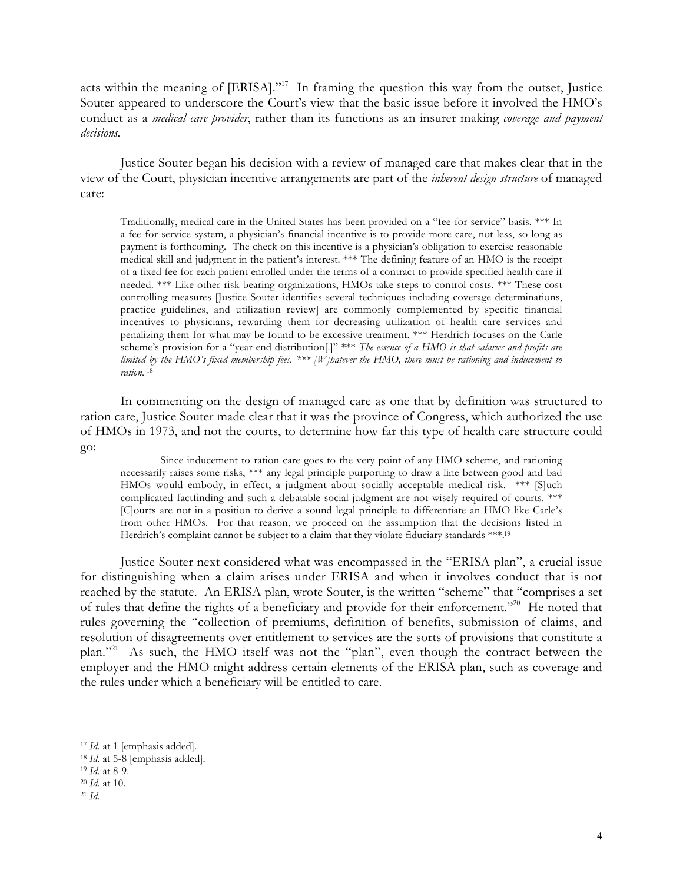acts within the meaning of [ERISA]."<sup>17</sup> In framing the question this way from the outset, Justice Souter appeared to underscore the Court's view that the basic issue before it involved the HMO's conduct as a *medical care provider*, rather than its functions as an insurer making *coverage and payment decisions.*

Justice Souter began his decision with a review of managed care that makes clear that in the view of the Court, physician incentive arrangements are part of the *inherent design structure* of managed care:

Traditionally, medical care in the United States has been provided on a "fee-for-service" basis. \*\*\* In a fee-for-service system, a physician's financial incentive is to provide more care, not less, so long as payment is forthcoming. The check on this incentive is a physician's obligation to exercise reasonable medical skill and judgment in the patient's interest. \*\*\* The defining feature of an HMO is the receipt of a fixed fee for each patient enrolled under the terms of a contract to provide specified health care if needed. \*\*\* Like other risk bearing organizations, HMOs take steps to control costs. \*\*\* These cost controlling measures [Justice Souter identifies several techniques including coverage determinations, practice guidelines, and utilization review] are commonly complemented by specific financial incentives to physicians, rewarding them for decreasing utilization of health care services and penalizing them for what may be found to be excessive treatment. \*\*\* Herdrich focuses on the Carle scheme's provision for a "year-end distribution[.]" \*\*\* *The essence of a HMO is that salaries and profits are limited by the HMO's fixed membership fees. \*\*\* [W]hatever the HMO, there must be rationing and inducement to ration*. <sup>18</sup>

In commenting on the design of managed care as one that by definition was structured to ration care, Justice Souter made clear that it was the province of Congress, which authorized the use of HMOs in 1973, and not the courts, to determine how far this type of health care structure could go:

Since inducement to ration care goes to the very point of any HMO scheme, and rationing necessarily raises some risks, \*\*\* any legal principle purporting to draw a line between good and bad HMOs would embody, in effect, a judgment about socially acceptable medical risk. \*\*\* [S]uch complicated factfinding and such a debatable social judgment are not wisely required of courts. \*\*\* [C]ourts are not in a position to derive a sound legal principle to differentiate an HMO like Carle's from other HMOs. For that reason, we proceed on the assumption that the decisions listed in Herdrich's complaint cannot be subject to a claim that they violate fiduciary standards \*\*\*.19

Justice Souter next considered what was encompassed in the "ERISA plan", a crucial issue for distinguishing when a claim arises under ERISA and when it involves conduct that is not reached by the statute. An ERISA plan, wrote Souter, is the written "scheme" that "comprises a set of rules that define the rights of a beneficiary and provide for their enforcement."20 He noted that rules governing the "collection of premiums, definition of benefits, submission of claims, and resolution of disagreements over entitlement to services are the sorts of provisions that constitute a plan."<sup>21</sup> As such, the HMO itself was not the "plan", even though the contract between the employer and the HMO might address certain elements of the ERISA plan, such as coverage and the rules under which a beneficiary will be entitled to care.

<sup>&</sup>lt;sup>17</sup> *Id.* at 1 [emphasis added].

<sup>18</sup> *Id.* at 5-8 [emphasis added].

<sup>19</sup> *Id.* at 8-9.

<sup>20</sup> *Id.* at 10.

<sup>21</sup> *Id.*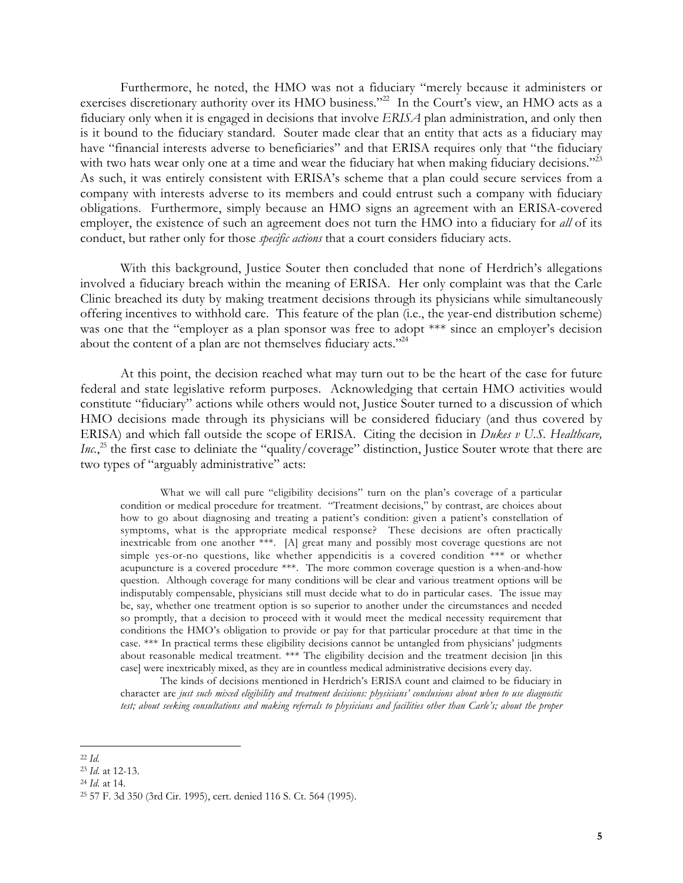Furthermore, he noted, the HMO was not a fiduciary "merely because it administers or exercises discretionary authority over its HMO business."<sup>22</sup> In the Court's view, an HMO acts as a fiduciary only when it is engaged in decisions that involve *ERISA* plan administration, and only then is it bound to the fiduciary standard. Souter made clear that an entity that acts as a fiduciary may have "financial interests adverse to beneficiaries" and that ERISA requires only that "the fiduciary with two hats wear only one at a time and wear the fiduciary hat when making fiduciary decisions."<sup>23</sup> As such, it was entirely consistent with ERISA's scheme that a plan could secure services from a company with interests adverse to its members and could entrust such a company with fiduciary obligations. Furthermore, simply because an HMO signs an agreement with an ERISA-covered employer, the existence of such an agreement does not turn the HMO into a fiduciary for *all* of its conduct, but rather only for those *specific actions* that a court considers fiduciary acts.

With this background, Justice Souter then concluded that none of Herdrich's allegations involved a fiduciary breach within the meaning of ERISA. Her only complaint was that the Carle Clinic breached its duty by making treatment decisions through its physicians while simultaneously offering incentives to withhold care. This feature of the plan (i.e., the year-end distribution scheme) was one that the "employer as a plan sponsor was free to adopt \*\*\* since an employer's decision about the content of a plan are not themselves fiduciary acts."<sup>24</sup>

At this point, the decision reached what may turn out to be the heart of the case for future federal and state legislative reform purposes. Acknowledging that certain HMO activities would constitute "fiduciary" actions while others would not, Justice Souter turned to a discussion of which HMO decisions made through its physicians will be considered fiduciary (and thus covered by ERISA) and which fall outside the scope of ERISA. Citing the decision in *Dukes v U.S. Healthcare,* Inc.,<sup>25</sup> the first case to deliniate the "quality/coverage" distinction, Justice Souter wrote that there are two types of "arguably administrative" acts:

What we will call pure "eligibility decisions" turn on the plan's coverage of a particular condition or medical procedure for treatment. "Treatment decisions," by contrast, are choices about how to go about diagnosing and treating a patient's condition: given a patient's constellation of symptoms, what is the appropriate medical response? These decisions are often practically inextricable from one another \*\*\*. [A] great many and possibly most coverage questions are not simple yes-or-no questions, like whether appendicitis is a covered condition \*\*\* or whether acupuncture is a covered procedure \*\*\*. The more common coverage question is a when-and-how question. Although coverage for many conditions will be clear and various treatment options will be indisputably compensable, physicians still must decide what to do in particular cases. The issue may be, say, whether one treatment option is so superior to another under the circumstances and needed so promptly, that a decision to proceed with it would meet the medical necessity requirement that conditions the HMO's obligation to provide or pay for that particular procedure at that time in the case. \*\*\* In practical terms these eligibility decisions cannot be untangled from physicians' judgments about reasonable medical treatment. \*\*\* The eligibility decision and the treatment decision [in this case] were inextricably mixed, as they are in countless medical administrative decisions every day.

The kinds of decisions mentioned in Herdrich's ERISA count and claimed to be fiduciary in character are *just such mixed eligibility and treatment decisions: physicians' conclusions about when to use diagnostic test; about seeking consultations and making referrals to physicians and facilities other than Carle's; about the proper*

l<br>L <sup>22</sup> *Id.*

<sup>23</sup> *Id.* at 12-13.

<sup>24</sup> *Id.* at 14.

<sup>25 57</sup> F. 3d 350 (3rd Cir. 1995), cert. denied 116 S. Ct. 564 (1995).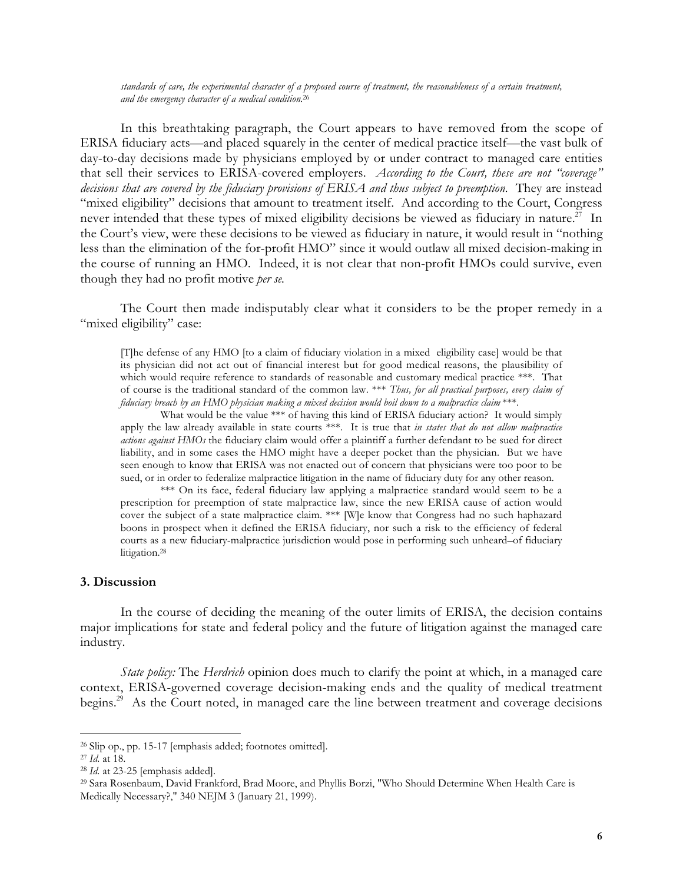*standards of care, the experimental character of a proposed course of treatment, the reasonableness of a certain treatment, and the emergency character of a medical condition*. 26

In this breathtaking paragraph, the Court appears to have removed from the scope of ERISA fiduciary acts—and placed squarely in the center of medical practice itself—the vast bulk of day-to-day decisions made by physicians employed by or under contract to managed care entities that sell their services to ERISA-covered employers. *According to the Court, these are not "coverage" decisions that are covered by the fiduciary provisions of ERISA and thus subject to preemption.* They are instead "mixed eligibility" decisions that amount to treatment itself. And according to the Court, Congress never intended that these types of mixed eligibility decisions be viewed as fiduciary in nature.<sup>27</sup> In the Court's view, were these decisions to be viewed as fiduciary in nature, it would result in "nothing less than the elimination of the for-profit HMO" since it would outlaw all mixed decision-making in the course of running an HMO. Indeed, it is not clear that non-profit HMOs could survive, even though they had no profit motive *per se.*

The Court then made indisputably clear what it considers to be the proper remedy in a "mixed eligibility" case:

[T]he defense of any HMO [to a claim of fiduciary violation in a mixed eligibility case] would be that its physician did not act out of financial interest but for good medical reasons, the plausibility of which would require reference to standards of reasonable and customary medical practice \*\*\*. That of course is the traditional standard of the common law. \*\*\* *Thus, for all practical purposes, every claim of fiduciary breach by an HMO physician making a mixed decision would boil down to a malpractice claim* \*\*\*.

What would be the value \*\*\* of having this kind of ERISA fiduciary action? It would simply apply the law already available in state courts \*\*\*. It is true that *in states that do not allow malpractice actions against HMOs* the fiduciary claim would offer a plaintiff a further defendant to be sued for direct liability, and in some cases the HMO might have a deeper pocket than the physician. But we have seen enough to know that ERISA was not enacted out of concern that physicians were too poor to be sued, or in order to federalize malpractice litigation in the name of fiduciary duty for any other reason.

\*\*\* On its face, federal fiduciary law applying a malpractice standard would seem to be a prescription for preemption of state malpractice law, since the new ERISA cause of action would cover the subject of a state malpractice claim. \*\*\* [W]e know that Congress had no such haphazard boons in prospect when it defined the ERISA fiduciary, nor such a risk to the efficiency of federal courts as a new fiduciary-malpractice jurisdiction would pose in performing such unheard–of fiduciary litigation.<sup>28</sup>

## **3. Discussion**

In the course of deciding the meaning of the outer limits of ERISA, the decision contains major implications for state and federal policy and the future of litigation against the managed care industry.

*State policy:* The *Herdrich* opinion does much to clarify the point at which, in a managed care context, ERISA-governed coverage decision-making ends and the quality of medical treatment begins.<sup>29</sup> As the Court noted, in managed care the line between treatment and coverage decisions

<sup>26</sup> Slip op., pp. 15-17 [emphasis added; footnotes omitted].

<sup>27</sup> *Id.* at 18.

<sup>28</sup> *Id.* at 23-25 [emphasis added].

<sup>29</sup> Sara Rosenbaum, David Frankford, Brad Moore, and Phyllis Borzi, "Who Should Determine When Health Care is Medically Necessary?," 340 NEJM 3 (January 21, 1999).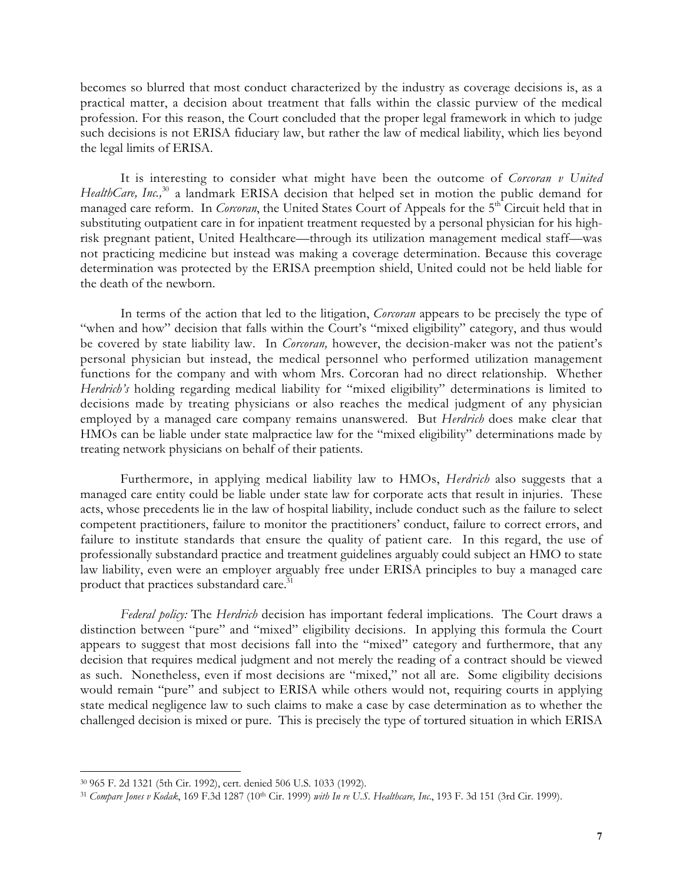becomes so blurred that most conduct characterized by the industry as coverage decisions is, as a practical matter, a decision about treatment that falls within the classic purview of the medical profession. For this reason, the Court concluded that the proper legal framework in which to judge such decisions is not ERISA fiduciary law, but rather the law of medical liability, which lies beyond the legal limits of ERISA.

It is interesting to consider what might have been the outcome of *Corcoran v United HealthCare, Inc.*<sup>30</sup> a landmark ERISA decision that helped set in motion the public demand for managed care reform. In *Corcoran*, the United States Court of Appeals for the 5<sup>th</sup> Circuit held that in substituting outpatient care in for inpatient treatment requested by a personal physician for his highrisk pregnant patient, United Healthcare—through its utilization management medical staff—was not practicing medicine but instead was making a coverage determination. Because this coverage determination was protected by the ERISA preemption shield, United could not be held liable for the death of the newborn.

In terms of the action that led to the litigation, *Corcoran* appears to be precisely the type of "when and how" decision that falls within the Court's "mixed eligibility" category, and thus would be covered by state liability law. In *Corcoran,* however, the decision-maker was not the patient's personal physician but instead, the medical personnel who performed utilization management functions for the company and with whom Mrs. Corcoran had no direct relationship. Whether *Herdrich's* holding regarding medical liability for "mixed eligibility" determinations is limited to decisions made by treating physicians or also reaches the medical judgment of any physician employed by a managed care company remains unanswered. But *Herdrich* does make clear that HMOs can be liable under state malpractice law for the "mixed eligibility" determinations made by treating network physicians on behalf of their patients.

Furthermore, in applying medical liability law to HMOs, *Herdrich* also suggests that a managed care entity could be liable under state law for corporate acts that result in injuries. These acts, whose precedents lie in the law of hospital liability, include conduct such as the failure to select competent practitioners, failure to monitor the practitioners' conduct, failure to correct errors, and failure to institute standards that ensure the quality of patient care. In this regard, the use of professionally substandard practice and treatment guidelines arguably could subject an HMO to state law liability, even were an employer arguably free under ERISA principles to buy a managed care product that practices substandard care.<sup>31</sup>

*Federal policy:* The *Herdrich* decision has important federal implications. The Court draws a distinction between "pure" and "mixed" eligibility decisions. In applying this formula the Court appears to suggest that most decisions fall into the "mixed" category and furthermore, that any decision that requires medical judgment and not merely the reading of a contract should be viewed as such. Nonetheless, even if most decisions are "mixed," not all are. Some eligibility decisions would remain "pure" and subject to ERISA while others would not, requiring courts in applying state medical negligence law to such claims to make a case by case determination as to whether the challenged decision is mixed or pure. This is precisely the type of tortured situation in which ERISA

 $\overline{a}$ 

<sup>30 965</sup> F. 2d 1321 (5th Cir. 1992), cert. denied 506 U.S. 1033 (1992).

<sup>31</sup> *Compare Jones v Kodak*, 169 F.3d 1287 (10th Cir. 1999) *with In re U.S. Healthcare, Inc.*, 193 F. 3d 151 (3rd Cir. 1999).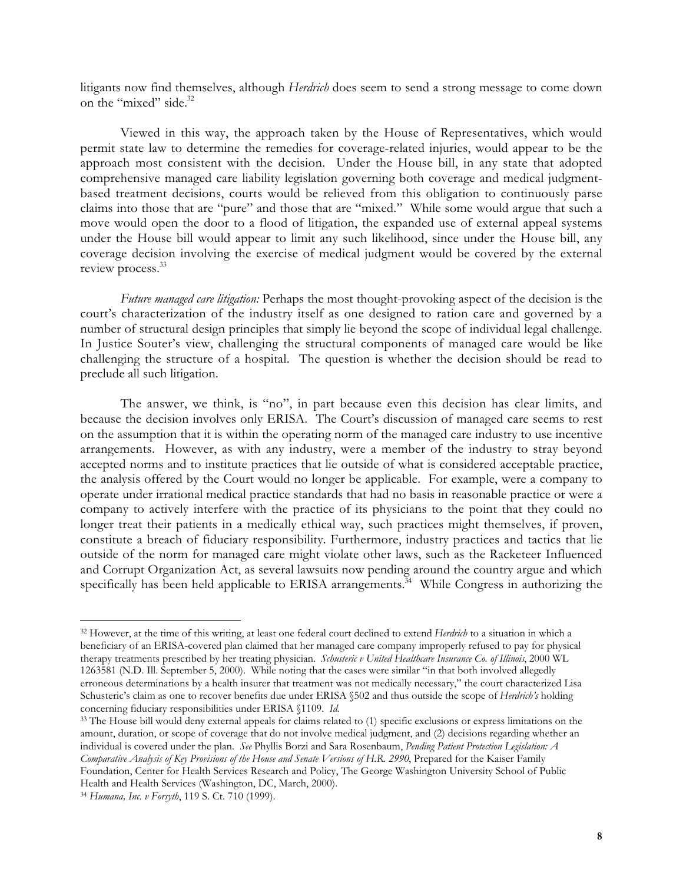litigants now find themselves, although *Herdrich* does seem to send a strong message to come down on the "mixed" side.<sup>32</sup>

Viewed in this way, the approach taken by the House of Representatives, which would permit state law to determine the remedies for coverage-related injuries, would appear to be the approach most consistent with the decision. Under the House bill, in any state that adopted comprehensive managed care liability legislation governing both coverage and medical judgmentbased treatment decisions, courts would be relieved from this obligation to continuously parse claims into those that are "pure" and those that are "mixed." While some would argue that such a move would open the door to a flood of litigation, the expanded use of external appeal systems under the House bill would appear to limit any such likelihood, since under the House bill, any coverage decision involving the exercise of medical judgment would be covered by the external review process.<sup>33</sup>

*Future managed care litigation:* Perhaps the most thought-provoking aspect of the decision is the court's characterization of the industry itself as one designed to ration care and governed by a number of structural design principles that simply lie beyond the scope of individual legal challenge. In Justice Souter's view, challenging the structural components of managed care would be like challenging the structure of a hospital. The question is whether the decision should be read to preclude all such litigation.

The answer, we think, is "no", in part because even this decision has clear limits, and because the decision involves only ERISA. The Court's discussion of managed care seems to rest on the assumption that it is within the operating norm of the managed care industry to use incentive arrangements. However, as with any industry, were a member of the industry to stray beyond accepted norms and to institute practices that lie outside of what is considered acceptable practice, the analysis offered by the Court would no longer be applicable. For example, were a company to operate under irrational medical practice standards that had no basis in reasonable practice or were a company to actively interfere with the practice of its physicians to the point that they could no longer treat their patients in a medically ethical way, such practices might themselves, if proven, constitute a breach of fiduciary responsibility. Furthermore, industry practices and tactics that lie outside of the norm for managed care might violate other laws, such as the Racketeer Influenced and Corrupt Organization Act, as several lawsuits now pending around the country argue and which specifically has been held applicable to ERISA arrangements.<sup>34</sup> While Congress in authorizing the

<sup>32</sup> However, at the time of this writing, at least one federal court declined to extend *Herdrich* to a situation in which a beneficiary of an ERISA-covered plan claimed that her managed care company improperly refused to pay for physical therapy treatments prescribed by her treating physician. *Schusteric v United Healthcare Insurance Co. of Illinois*, 2000 WL 1263581 (N.D. Ill. September 5, 2000). While noting that the cases were similar "in that both involved allegedly erroneous determinations by a health insurer that treatment was not medically necessary," the court characterized Lisa Schusteric's claim as one to recover benefits due under ERISA §502 and thus outside the scope of *Herdrich's* holding concerning fiduciary responsibilities under ERISA §1109. *Id.*

<sup>&</sup>lt;sup>33</sup> The House bill would deny external appeals for claims related to (1) specific exclusions or express limitations on the amount, duration, or scope of coverage that do not involve medical judgment, and (2) decisions regarding whether an individual is covered under the plan. *See* Phyllis Borzi and Sara Rosenbaum, *Pending Patient Protection Legislation: A Comparative Analysis of Key Provisions of the House and Senate Versions of H.R. 2990*, Prepared for the Kaiser Family Foundation, Center for Health Services Research and Policy, The George Washington University School of Public Health and Health Services (Washington, DC, March, 2000).

<sup>34</sup> *Humana, Inc. v Forsyth*, 119 S. Ct. 710 (1999).